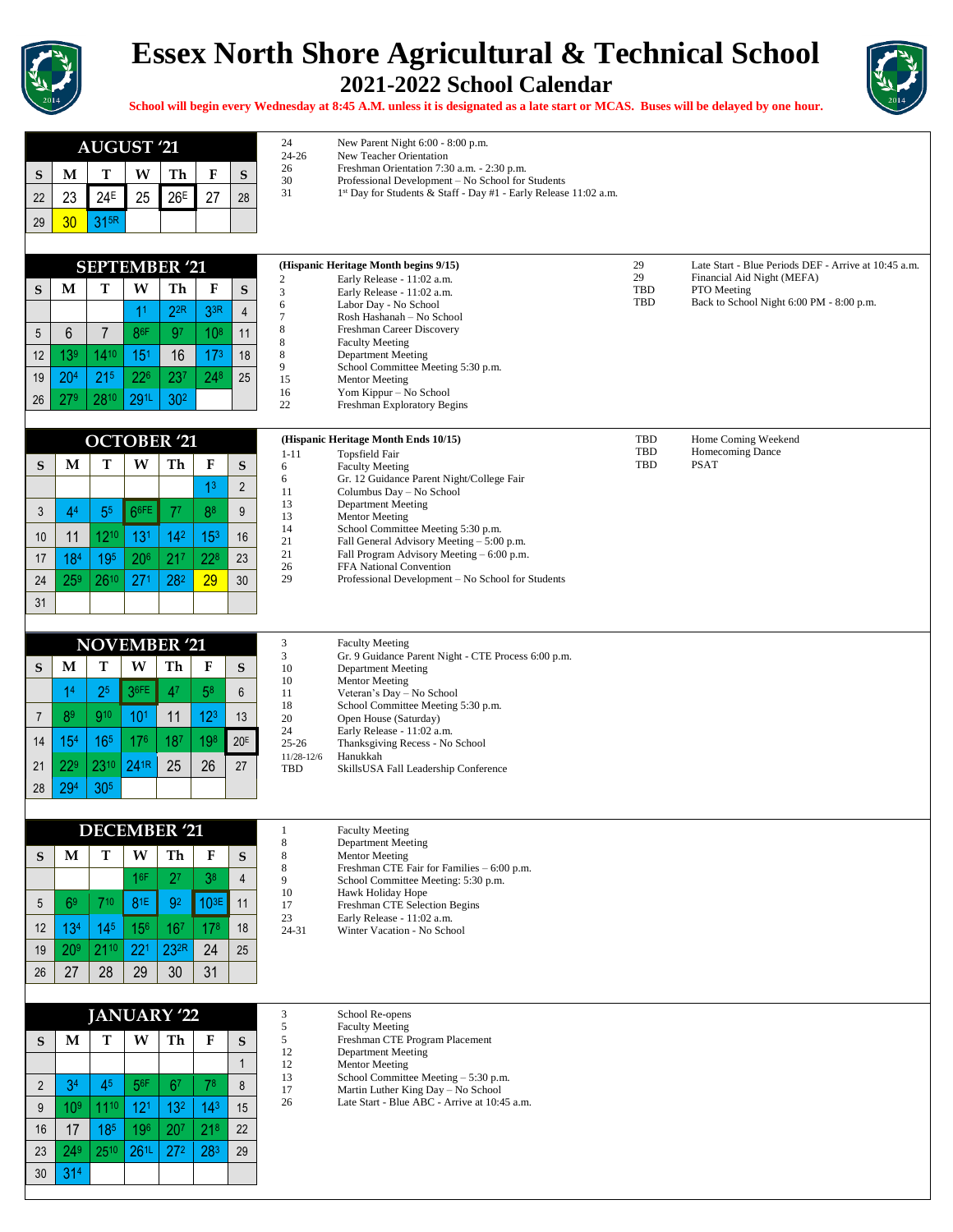

## **Essex North Shore Agricultural & Technical School 2021-2022 School Calendar**



**School will begin every Wednesday at 8:45 A.M. unless it is designated as a late start or MCAS. Buses will be delayed by one hour.**

|                 |                 | <b>AUGUST '21</b>    |                    |                  |                 |                | 24                    | New Parent Night 6:00 - 8:00 p.m.                                                |            |                                                      |
|-----------------|-----------------|----------------------|--------------------|------------------|-----------------|----------------|-----------------------|----------------------------------------------------------------------------------|------------|------------------------------------------------------|
|                 |                 |                      |                    |                  |                 |                | $24 - 26$<br>26       | New Teacher Orientation<br>Freshman Orientation 7:30 a.m. - 2:30 p.m.            |            |                                                      |
| S               | M               | т                    | W                  | Th               | F               | S              | 30<br>31              | Professional Development - No School for Students                                |            |                                                      |
| 22              | 23              | 24 <sup>E</sup>      | 25                 | 26 <sup>E</sup>  | 27              | 28             |                       | 1st Day for Students & Staff - Day #1 - Early Release 11:02 a.m.                 |            |                                                      |
| 29              | 30              | 31 <sup>5R</sup>     |                    |                  |                 |                |                       |                                                                                  |            |                                                      |
|                 |                 |                      |                    |                  |                 |                |                       |                                                                                  |            |                                                      |
|                 |                 | <b>SEPTEMBER '21</b> |                    |                  |                 |                |                       | (Hispanic Heritage Month begins 9/15)                                            | 29         | Late Start - Blue Periods DEF - Arrive at 10:45 a.m. |
| S               | M               | T                    | W                  | Th               | F               | S              | $\overline{c}$<br>3   | Early Release - 11:02 a.m.<br>Early Release - 11:02 a.m.                         | 29<br>TBD  | Financial Aid Night (MEFA)<br>PTO Meeting            |
|                 |                 |                      | 11                 | $2^{2R}$         | 33R             | $\overline{4}$ | 6                     | Labor Day - No School                                                            | TBD        | Back to School Night 6:00 PM - 8:00 p.m.             |
| 5               | 6               | $\overline{7}$       | 86F                | 97               | 10 <sup>8</sup> | 11             | $\tau$<br>8           | Rosh Hashanah - No School<br>Freshman Career Discovery                           |            |                                                      |
|                 |                 |                      |                    |                  |                 |                | 8                     | <b>Faculty Meeting</b>                                                           |            |                                                      |
| 12              | 139             | 1410                 | 15 <sup>1</sup>    | 16               | 17 <sup>3</sup> | 18             | 8<br>9                | <b>Department Meeting</b><br>School Committee Meeting 5:30 p.m.                  |            |                                                      |
| 19              | 20 <sup>4</sup> | 21 <sup>5</sup>      | 22 <sup>6</sup>    | 237              | $24^{8}$        | 25             | 15<br>16              | <b>Mentor Meeting</b><br>Yom Kippur - No School                                  |            |                                                      |
| 26              | 27 <sup>9</sup> | 2810                 | 291L               | 30 <sup>2</sup>  |                 |                | 22                    | Freshman Exploratory Begins                                                      |            |                                                      |
|                 |                 |                      |                    |                  |                 |                |                       |                                                                                  |            |                                                      |
|                 |                 | <b>OCTOBER '21</b>   |                    |                  |                 |                | $1 - 11$              | (Hispanic Heritage Month Ends 10/15)<br>Topsfield Fair                           | TBD<br>TBD | Home Coming Weekend<br>Homecoming Dance              |
| S               | $\mathbf M$     | T                    | W                  | Th               | F               | ${\bf S}$      | 6                     | <b>Faculty Meeting</b>                                                           | <b>TBD</b> | <b>PSAT</b>                                          |
|                 |                 |                      |                    |                  | 1 <sup>3</sup>  | $\overline{2}$ | 6<br>11               | Gr. 12 Guidance Parent Night/College Fair<br>Columbus Day - No School            |            |                                                      |
|                 |                 |                      | 66FE               | 77               |                 |                | 13                    | <b>Department Meeting</b>                                                        |            |                                                      |
| 3               | 4 <sup>4</sup>  | 55                   |                    |                  | 88              | 9              | 13<br>14              | <b>Mentor Meeting</b><br>School Committee Meeting 5:30 p.m.                      |            |                                                      |
| 10 <sup>1</sup> | 11              | 1210                 | 13 <sup>1</sup>    | 14 <sup>2</sup>  | 15 <sup>3</sup> | 16             | 21                    | Fall General Advisory Meeting - 5:00 p.m.                                        |            |                                                      |
| 17              | 184             | 195                  | 206                | 21 <sup>7</sup>  | 228             | 23             | 21<br>26              | Fall Program Advisory Meeting - 6:00 p.m.<br>FFA National Convention             |            |                                                      |
| 24              | 25 <sup>9</sup> | 2610                 | 27 <sup>1</sup>    | 282              | 29              | 30             | 29                    | Professional Development - No School for Students                                |            |                                                      |
| 31              |                 |                      |                    |                  |                 |                |                       |                                                                                  |            |                                                      |
|                 |                 |                      |                    |                  |                 |                |                       |                                                                                  |            |                                                      |
|                 |                 | <b>NOVEMBER '21</b>  |                    |                  |                 |                | 3                     | <b>Faculty Meeting</b>                                                           |            |                                                      |
| S               | M               | T                    | W                  | Th               | F               | S              | 3<br>10               | Gr. 9 Guidance Parent Night - CTE Process 6:00 p.m.<br><b>Department Meeting</b> |            |                                                      |
|                 | 14              | 2 <sup>5</sup>       | 36FE               | 4 <sup>7</sup>   | 5 <sup>8</sup>  | 6              | 10<br>11              | <b>Mentor Meeting</b><br>Veteran's Day - No School                               |            |                                                      |
|                 |                 |                      |                    |                  |                 |                | 18                    | School Committee Meeting 5:30 p.m.                                               |            |                                                      |
| $\overline{7}$  | 8 <sup>9</sup>  | 910                  | 10 <sup>1</sup>    | 11               | 12 <sup>3</sup> | 13             | 20<br>24              | Open House (Saturday)<br>Early Release - 11:02 a.m.                              |            |                                                      |
| 14              | 15 <sup>4</sup> | 165                  | 176                | 187              | 198             | 20E            | $25 - 26$             | Thanksgiving Recess - No School                                                  |            |                                                      |
| 21              | 22 <sup>9</sup> | 2310                 | 241R               | 25               | 26              | 27             | $11/28 - 12/6$<br>TBD | Hanukkah<br>SkillsUSA Fall Leadership Conference                                 |            |                                                      |
| 28              | 294             | 305                  |                    |                  |                 |                |                       |                                                                                  |            |                                                      |
|                 |                 |                      |                    |                  |                 |                |                       |                                                                                  |            |                                                      |
|                 |                 | <b>DECEMBER '21</b>  |                    |                  |                 |                | $\mathbf{1}$          | <b>Faculty Meeting</b>                                                           |            |                                                      |
|                 |                 |                      |                    |                  |                 |                | $\,8\,$               | Department Meeting                                                               |            |                                                      |
| S               | M               | T                    | W                  | Th               | F               | $\mathbf S$    | 8<br>8                | <b>Mentor Meeting</b><br>Freshman CTE Fair for Families - 6:00 p.m.              |            |                                                      |
|                 |                 |                      | 16F                | 2 <sup>7</sup>   | 3 <sup>8</sup>  | $\overline{4}$ | 9<br>10               | School Committee Meeting: 5:30 p.m.<br>Hawk Holiday Hope                         |            |                                                      |
| $5\overline{)}$ | 6 <sup>9</sup>  | 710                  | 81E                | 92               | 103E            | 11             | 17                    | Freshman CTE Selection Begins                                                    |            |                                                      |
| 12              | 13 <sup>4</sup> | 14 <sup>5</sup>      | 156                | 167              | 178             | 18             | 23<br>$24 - 31$       | Early Release - 11:02 a.m.<br>Winter Vacation - No School                        |            |                                                      |
| 19              | 20 <sup>9</sup> | 2110                 | 22 <sup>1</sup>    | 23 <sup>2R</sup> | 24              | 25             |                       |                                                                                  |            |                                                      |
| 26              | 27              | 28                   | 29                 | 30               | 31              |                |                       |                                                                                  |            |                                                      |
|                 |                 |                      |                    |                  |                 |                |                       |                                                                                  |            |                                                      |
|                 |                 |                      | <b>JANUARY '22</b> |                  |                 |                | 3                     | School Re-opens                                                                  |            |                                                      |
|                 |                 |                      |                    |                  |                 |                | 5                     | <b>Faculty Meeting</b>                                                           |            |                                                      |
| S               | M               | T                    | W                  | Th               | F               | S              | 5<br>12               | Freshman CTE Program Placement<br><b>Department Meeting</b>                      |            |                                                      |
|                 |                 |                      |                    |                  |                 | $\mathbf{1}$   | 12                    | Mentor Meeting<br>School Committee Meeting - 5:30 p.m.                           |            |                                                      |
| $\overline{2}$  | 3 <sup>4</sup>  | 45                   | 56F                | 6 <sup>7</sup>   | 78              | 8              | 13<br>17              | Martin Luther King Day - No School                                               |            |                                                      |
| 9               | 10 <sup>9</sup> | 1110                 | 12 <sup>1</sup>    | 13 <sup>2</sup>  | 14 <sup>3</sup> | 15             | 26                    | Late Start - Blue ABC - Arrive at 10:45 a.m.                                     |            |                                                      |
| 16              | 17              | 185                  | 196                | 207              | 21 <sup>8</sup> | 22             |                       |                                                                                  |            |                                                      |
| 23              | 24 <sup>9</sup> | 2510                 | 26 <sup>1L</sup>   | 27 <sup>2</sup>  | 283             | 29             |                       |                                                                                  |            |                                                      |
| $30\,$          | 314             |                      |                    |                  |                 |                |                       |                                                                                  |            |                                                      |
|                 |                 |                      |                    |                  |                 |                |                       |                                                                                  |            |                                                      |